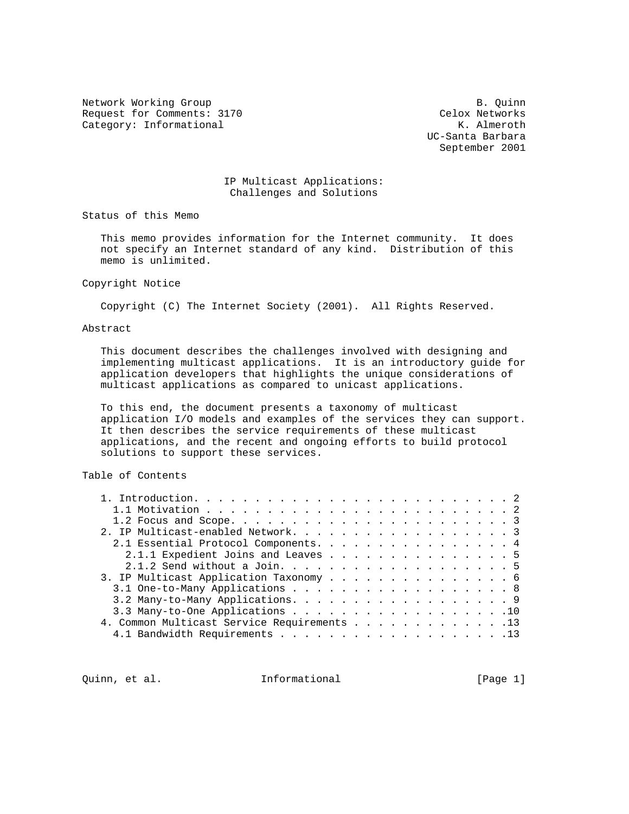Network Working Group and the set of the set of the set of the set of the set of the set of the set of the set of the set of the set of the set of the set of the set of the set of the set of the set of the set of the set o Request for Comments: 3170 Celox Networks Category: Informational  $K.$  Almeroth

 UC-Santa Barbara September 2001

# IP Multicast Applications: Challenges and Solutions

Status of this Memo

 This memo provides information for the Internet community. It does not specify an Internet standard of any kind. Distribution of this memo is unlimited.

### Copyright Notice

Copyright (C) The Internet Society (2001). All Rights Reserved.

### Abstract

 This document describes the challenges involved with designing and implementing multicast applications. It is an introductory guide for application developers that highlights the unique considerations of multicast applications as compared to unicast applications.

 To this end, the document presents a taxonomy of multicast application I/O models and examples of the services they can support. It then describes the service requirements of these multicast applications, and the recent and ongoing efforts to build protocol solutions to support these services.

Table of Contents

| 2. IP Multicast-enabled Network. 3          |  |
|---------------------------------------------|--|
| 2.1 Essential Protocol Components. 4        |  |
| 2.1.1 Expedient Joins and Leaves 5          |  |
|                                             |  |
| 3. IP Multicast Application Taxonomy 6      |  |
| 3.1 One-to-Many Applications 8              |  |
| 3.2 Many-to-Many Applications. 9            |  |
| 3.3 Many-to-One Applications 10             |  |
| 4. Common Multicast Service Requirements 13 |  |
|                                             |  |

Quinn, et al. **Informational** [Page 1]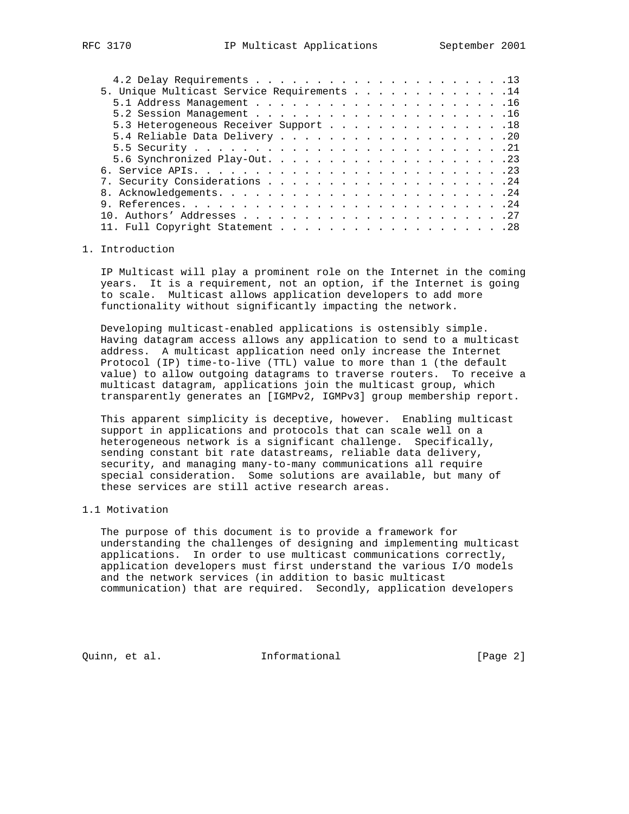| 5. Unique Multicast Service Requirements 14 |  |  |  |  |  |  |
|---------------------------------------------|--|--|--|--|--|--|
|                                             |  |  |  |  |  |  |
|                                             |  |  |  |  |  |  |
| 5.3 Heterogeneous Receiver Support 18       |  |  |  |  |  |  |
|                                             |  |  |  |  |  |  |
|                                             |  |  |  |  |  |  |
|                                             |  |  |  |  |  |  |
|                                             |  |  |  |  |  |  |
|                                             |  |  |  |  |  |  |
|                                             |  |  |  |  |  |  |
|                                             |  |  |  |  |  |  |
|                                             |  |  |  |  |  |  |
|                                             |  |  |  |  |  |  |
|                                             |  |  |  |  |  |  |

# 1. Introduction

 IP Multicast will play a prominent role on the Internet in the coming years. It is a requirement, not an option, if the Internet is going to scale. Multicast allows application developers to add more functionality without significantly impacting the network.

 Developing multicast-enabled applications is ostensibly simple. Having datagram access allows any application to send to a multicast address. A multicast application need only increase the Internet Protocol (IP) time-to-live (TTL) value to more than 1 (the default value) to allow outgoing datagrams to traverse routers. To receive a multicast datagram, applications join the multicast group, which transparently generates an [IGMPv2, IGMPv3] group membership report.

 This apparent simplicity is deceptive, however. Enabling multicast support in applications and protocols that can scale well on a heterogeneous network is a significant challenge. Specifically, sending constant bit rate datastreams, reliable data delivery, security, and managing many-to-many communications all require special consideration. Some solutions are available, but many of these services are still active research areas.

### 1.1 Motivation

 The purpose of this document is to provide a framework for understanding the challenges of designing and implementing multicast applications. In order to use multicast communications correctly, application developers must first understand the various I/O models and the network services (in addition to basic multicast communication) that are required. Secondly, application developers

Quinn, et al. 10 1nformational 100 minutional [Page 2]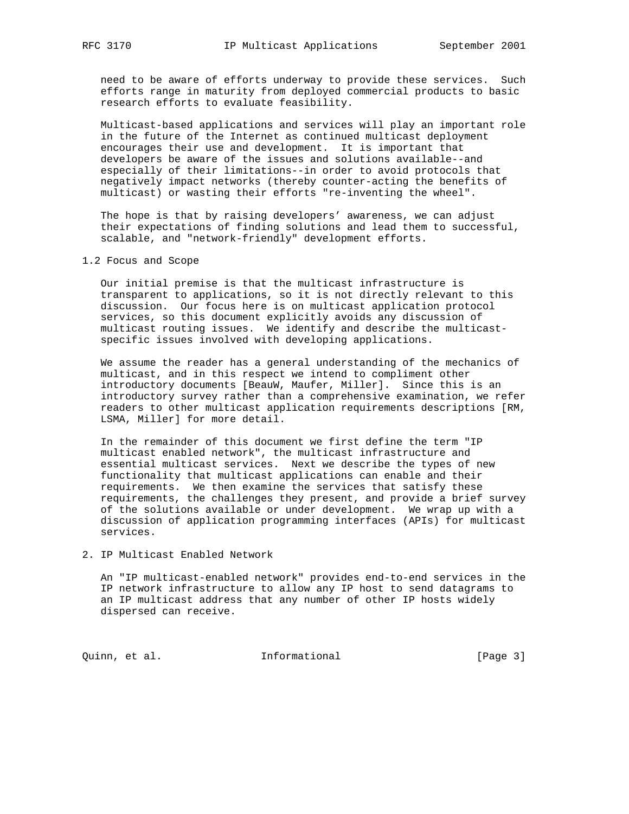need to be aware of efforts underway to provide these services. Such efforts range in maturity from deployed commercial products to basic research efforts to evaluate feasibility.

 Multicast-based applications and services will play an important role in the future of the Internet as continued multicast deployment encourages their use and development. It is important that developers be aware of the issues and solutions available--and especially of their limitations--in order to avoid protocols that negatively impact networks (thereby counter-acting the benefits of multicast) or wasting their efforts "re-inventing the wheel".

 The hope is that by raising developers' awareness, we can adjust their expectations of finding solutions and lead them to successful, scalable, and "network-friendly" development efforts.

1.2 Focus and Scope

 Our initial premise is that the multicast infrastructure is transparent to applications, so it is not directly relevant to this discussion. Our focus here is on multicast application protocol services, so this document explicitly avoids any discussion of multicast routing issues. We identify and describe the multicast specific issues involved with developing applications.

 We assume the reader has a general understanding of the mechanics of multicast, and in this respect we intend to compliment other introductory documents [BeauW, Maufer, Miller]. Since this is an introductory survey rather than a comprehensive examination, we refer readers to other multicast application requirements descriptions [RM, LSMA, Miller] for more detail.

 In the remainder of this document we first define the term "IP multicast enabled network", the multicast infrastructure and essential multicast services. Next we describe the types of new functionality that multicast applications can enable and their requirements. We then examine the services that satisfy these requirements, the challenges they present, and provide a brief survey of the solutions available or under development. We wrap up with a discussion of application programming interfaces (APIs) for multicast services.

2. IP Multicast Enabled Network

 An "IP multicast-enabled network" provides end-to-end services in the IP network infrastructure to allow any IP host to send datagrams to an IP multicast address that any number of other IP hosts widely dispersed can receive.

Quinn, et al. 10 1nformational 100 minutional [Page 3]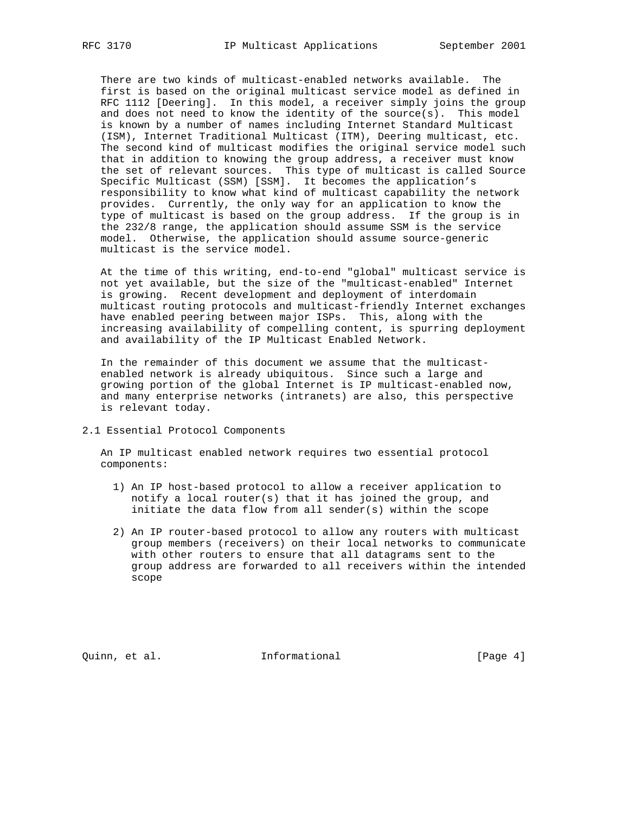There are two kinds of multicast-enabled networks available. The first is based on the original multicast service model as defined in RFC 1112 [Deering]. In this model, a receiver simply joins the group and does not need to know the identity of the source(s). This model is known by a number of names including Internet Standard Multicast (ISM), Internet Traditional Multicast (ITM), Deering multicast, etc. The second kind of multicast modifies the original service model such that in addition to knowing the group address, a receiver must know the set of relevant sources. This type of multicast is called Source Specific Multicast (SSM) [SSM]. It becomes the application's responsibility to know what kind of multicast capability the network provides. Currently, the only way for an application to know the type of multicast is based on the group address. If the group is in the 232/8 range, the application should assume SSM is the service model. Otherwise, the application should assume source-generic multicast is the service model.

 At the time of this writing, end-to-end "global" multicast service is not yet available, but the size of the "multicast-enabled" Internet is growing. Recent development and deployment of interdomain multicast routing protocols and multicast-friendly Internet exchanges have enabled peering between major ISPs. This, along with the increasing availability of compelling content, is spurring deployment and availability of the IP Multicast Enabled Network.

 In the remainder of this document we assume that the multicast enabled network is already ubiquitous. Since such a large and growing portion of the global Internet is IP multicast-enabled now, and many enterprise networks (intranets) are also, this perspective is relevant today.

2.1 Essential Protocol Components

 An IP multicast enabled network requires two essential protocol components:

- 1) An IP host-based protocol to allow a receiver application to notify a local router(s) that it has joined the group, and initiate the data flow from all sender(s) within the scope
- 2) An IP router-based protocol to allow any routers with multicast group members (receivers) on their local networks to communicate with other routers to ensure that all datagrams sent to the group address are forwarded to all receivers within the intended scope

Quinn, et al. 1nformational 1999 [Page 4]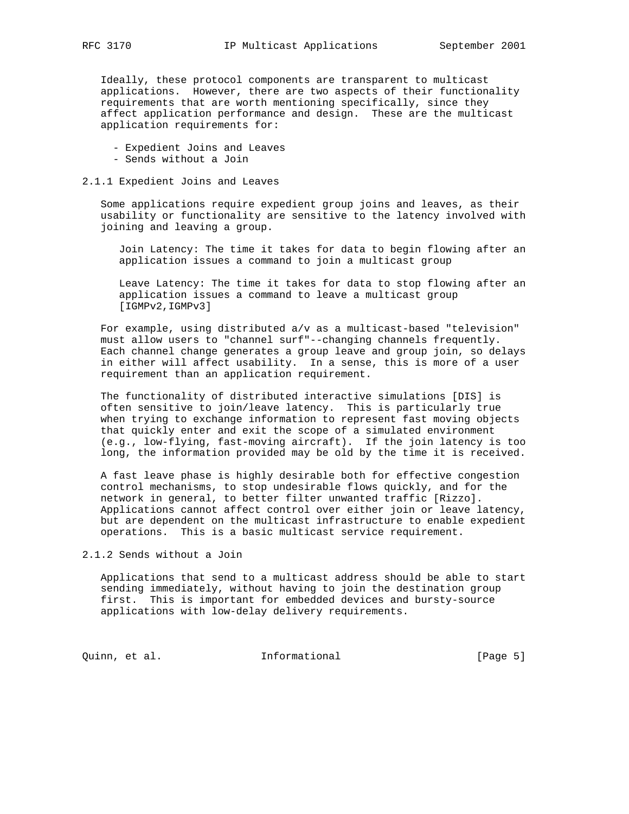Ideally, these protocol components are transparent to multicast applications. However, there are two aspects of their functionality requirements that are worth mentioning specifically, since they affect application performance and design. These are the multicast application requirements for:

- Expedient Joins and Leaves
- Sends without a Join

### 2.1.1 Expedient Joins and Leaves

 Some applications require expedient group joins and leaves, as their usability or functionality are sensitive to the latency involved with joining and leaving a group.

 Join Latency: The time it takes for data to begin flowing after an application issues a command to join a multicast group

 Leave Latency: The time it takes for data to stop flowing after an application issues a command to leave a multicast group [IGMPv2,IGMPv3]

 For example, using distributed a/v as a multicast-based "television" must allow users to "channel surf"--changing channels frequently. Each channel change generates a group leave and group join, so delays in either will affect usability. In a sense, this is more of a user requirement than an application requirement.

 The functionality of distributed interactive simulations [DIS] is often sensitive to join/leave latency. This is particularly true when trying to exchange information to represent fast moving objects that quickly enter and exit the scope of a simulated environment (e.g., low-flying, fast-moving aircraft). If the join latency is too long, the information provided may be old by the time it is received.

 A fast leave phase is highly desirable both for effective congestion control mechanisms, to stop undesirable flows quickly, and for the network in general, to better filter unwanted traffic [Rizzo]. Applications cannot affect control over either join or leave latency, but are dependent on the multicast infrastructure to enable expedient operations. This is a basic multicast service requirement.

2.1.2 Sends without a Join

 Applications that send to a multicast address should be able to start sending immediately, without having to join the destination group first. This is important for embedded devices and bursty-source applications with low-delay delivery requirements.

Quinn, et al. 10 1nformational 100 minutional [Page 5]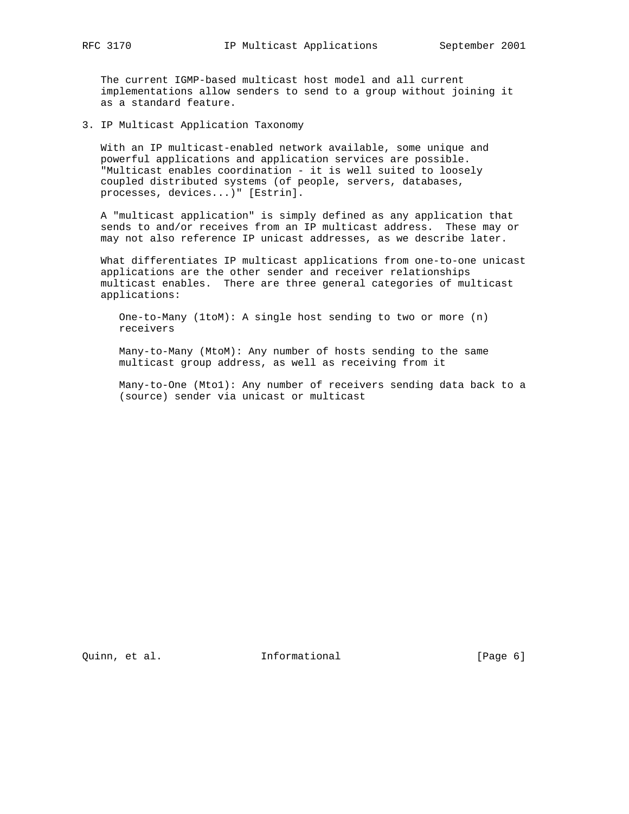The current IGMP-based multicast host model and all current implementations allow senders to send to a group without joining it as a standard feature.

3. IP Multicast Application Taxonomy

 With an IP multicast-enabled network available, some unique and powerful applications and application services are possible. "Multicast enables coordination - it is well suited to loosely coupled distributed systems (of people, servers, databases, processes, devices...)" [Estrin].

 A "multicast application" is simply defined as any application that sends to and/or receives from an IP multicast address. These may or may not also reference IP unicast addresses, as we describe later.

 What differentiates IP multicast applications from one-to-one unicast applications are the other sender and receiver relationships multicast enables. There are three general categories of multicast applications:

 One-to-Many (1toM): A single host sending to two or more (n) receivers

 Many-to-Many (MtoM): Any number of hosts sending to the same multicast group address, as well as receiving from it

 Many-to-One (Mto1): Any number of receivers sending data back to a (source) sender via unicast or multicast

Quinn, et al. 10 mm informational 100 mm informational [Page 6]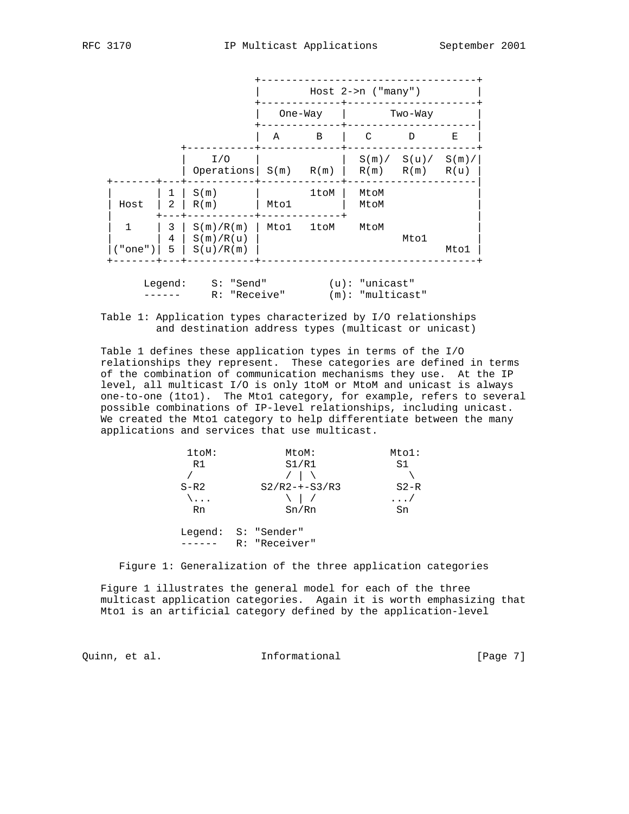

| ------ | "Receive" | $(m):$ "multicast" |
|--------|-----------|--------------------|
|--------|-----------|--------------------|

 Table 1: Application types characterized by I/O relationships and destination address types (multicast or unicast)

 Table 1 defines these application types in terms of the I/O relationships they represent. These categories are defined in terms of the combination of communication mechanisms they use. At the IP level, all multicast I/O is only 1toM or MtoM and unicast is always one-to-one (1to1). The Mto1 category, for example, refers to several possible combinations of IP-level relationships, including unicast. We created the Mto1 category to help differentiate between the many applications and services that use multicast.

| 1toM:  | MtoM:               | Mto1:     |
|--------|---------------------|-----------|
| R1     | S1/R1               | S1        |
|        |                     |           |
| $S-R2$ | $S2/R2-+-S3/R3$     | $S2-R$    |
| \      |                     | $\ldots/$ |
| Rn     | Sn/Rn               | Sn        |
|        | Legend: S: "Sender" |           |
|        | R: "Receiver"       |           |

Figure 1: Generalization of the three application categories

 Figure 1 illustrates the general model for each of the three multicast application categories. Again it is worth emphasizing that Mto1 is an artificial category defined by the application-level

Quinn, et al. 10 1nformational 100 minutional [Page 7]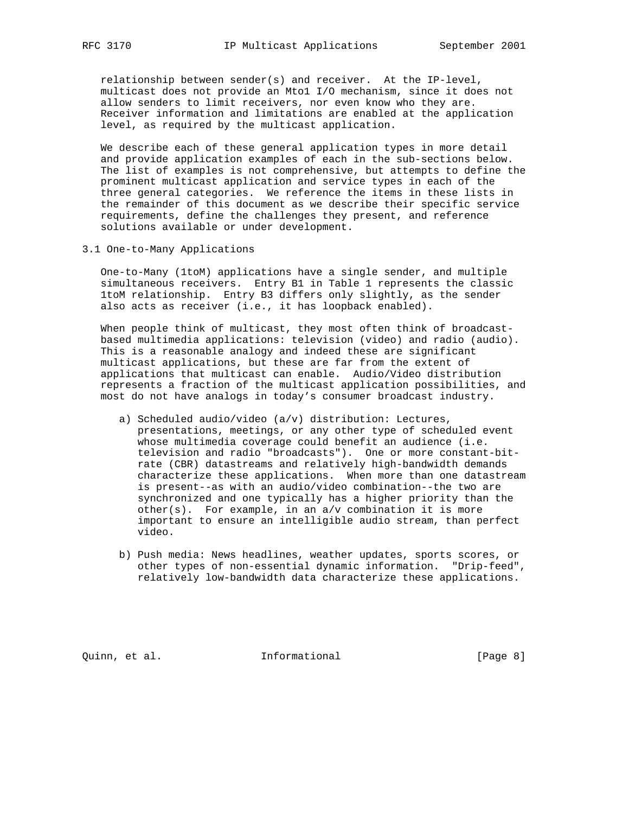relationship between sender(s) and receiver. At the IP-level, multicast does not provide an Mto1 I/O mechanism, since it does not allow senders to limit receivers, nor even know who they are. Receiver information and limitations are enabled at the application level, as required by the multicast application.

 We describe each of these general application types in more detail and provide application examples of each in the sub-sections below. The list of examples is not comprehensive, but attempts to define the prominent multicast application and service types in each of the three general categories. We reference the items in these lists in the remainder of this document as we describe their specific service requirements, define the challenges they present, and reference solutions available or under development.

3.1 One-to-Many Applications

 One-to-Many (1toM) applications have a single sender, and multiple simultaneous receivers. Entry B1 in Table 1 represents the classic 1toM relationship. Entry B3 differs only slightly, as the sender also acts as receiver (i.e., it has loopback enabled).

 When people think of multicast, they most often think of broadcast based multimedia applications: television (video) and radio (audio). This is a reasonable analogy and indeed these are significant multicast applications, but these are far from the extent of applications that multicast can enable. Audio/Video distribution represents a fraction of the multicast application possibilities, and most do not have analogs in today's consumer broadcast industry.

- a) Scheduled audio/video (a/v) distribution: Lectures, presentations, meetings, or any other type of scheduled event whose multimedia coverage could benefit an audience (i.e. television and radio "broadcasts"). One or more constant-bit rate (CBR) datastreams and relatively high-bandwidth demands characterize these applications. When more than one datastream is present--as with an audio/video combination--the two are synchronized and one typically has a higher priority than the other(s). For example, in an a/v combination it is more important to ensure an intelligible audio stream, than perfect video.
- b) Push media: News headlines, weather updates, sports scores, or other types of non-essential dynamic information. "Drip-feed", relatively low-bandwidth data characterize these applications.

Quinn, et al. 10 1nformational 100 minutional [Page 8]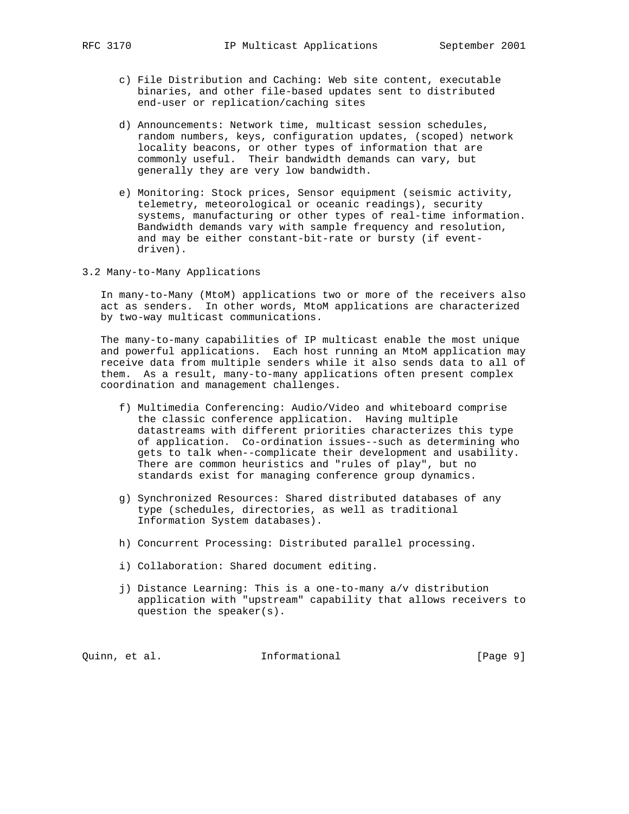- c) File Distribution and Caching: Web site content, executable binaries, and other file-based updates sent to distributed end-user or replication/caching sites
- d) Announcements: Network time, multicast session schedules, random numbers, keys, configuration updates, (scoped) network locality beacons, or other types of information that are commonly useful. Their bandwidth demands can vary, but generally they are very low bandwidth.
- e) Monitoring: Stock prices, Sensor equipment (seismic activity, telemetry, meteorological or oceanic readings), security systems, manufacturing or other types of real-time information. Bandwidth demands vary with sample frequency and resolution, and may be either constant-bit-rate or bursty (if event driven).
- 3.2 Many-to-Many Applications

 In many-to-Many (MtoM) applications two or more of the receivers also act as senders. In other words, MtoM applications are characterized by two-way multicast communications.

 The many-to-many capabilities of IP multicast enable the most unique and powerful applications. Each host running an MtoM application may receive data from multiple senders while it also sends data to all of them. As a result, many-to-many applications often present complex coordination and management challenges.

- f) Multimedia Conferencing: Audio/Video and whiteboard comprise the classic conference application. Having multiple datastreams with different priorities characterizes this type of application. Co-ordination issues--such as determining who gets to talk when--complicate their development and usability. There are common heuristics and "rules of play", but no standards exist for managing conference group dynamics.
- g) Synchronized Resources: Shared distributed databases of any type (schedules, directories, as well as traditional Information System databases).
- h) Concurrent Processing: Distributed parallel processing.
- i) Collaboration: Shared document editing.
- j) Distance Learning: This is a one-to-many a/v distribution application with "upstream" capability that allows receivers to question the speaker(s).

Quinn, et al. 1nformational 1999 [Page 9]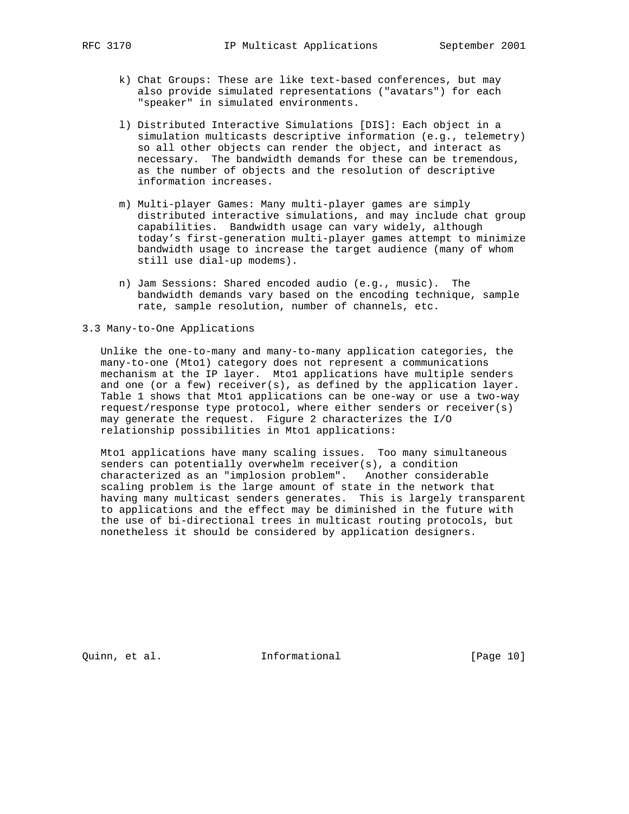- k) Chat Groups: These are like text-based conferences, but may also provide simulated representations ("avatars") for each "speaker" in simulated environments.
- l) Distributed Interactive Simulations [DIS]: Each object in a simulation multicasts descriptive information (e.g., telemetry) so all other objects can render the object, and interact as necessary. The bandwidth demands for these can be tremendous, as the number of objects and the resolution of descriptive information increases.
- m) Multi-player Games: Many multi-player games are simply distributed interactive simulations, and may include chat group capabilities. Bandwidth usage can vary widely, although today's first-generation multi-player games attempt to minimize bandwidth usage to increase the target audience (many of whom still use dial-up modems).
- n) Jam Sessions: Shared encoded audio (e.g., music). The bandwidth demands vary based on the encoding technique, sample rate, sample resolution, number of channels, etc.
- 3.3 Many-to-One Applications

 Unlike the one-to-many and many-to-many application categories, the many-to-one (Mto1) category does not represent a communications mechanism at the IP layer. Mto1 applications have multiple senders and one (or a few) receiver(s), as defined by the application layer. Table 1 shows that Mto1 applications can be one-way or use a two-way request/response type protocol, where either senders or receiver(s) may generate the request. Figure 2 characterizes the I/O relationship possibilities in Mto1 applications:

 Mto1 applications have many scaling issues. Too many simultaneous senders can potentially overwhelm receiver(s), a condition characterized as an "implosion problem". Another considerable scaling problem is the large amount of state in the network that having many multicast senders generates. This is largely transparent to applications and the effect may be diminished in the future with the use of bi-directional trees in multicast routing protocols, but nonetheless it should be considered by application designers.

Quinn, et al. 10 mm informational 10 mm informational [Page 10]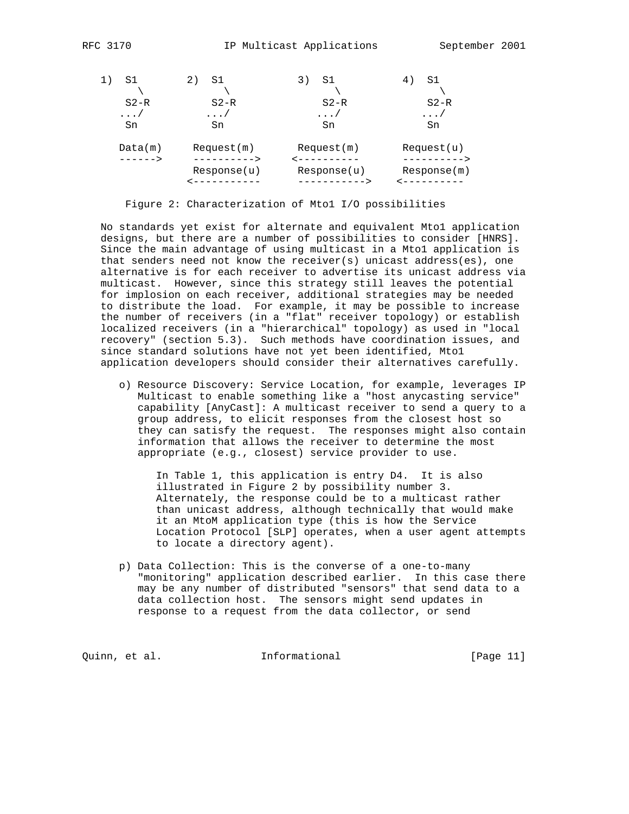| S1         | S1          | S1          | S1<br>4     |
|------------|-------------|-------------|-------------|
|            |             |             |             |
| $S2-R$     | $S2-R$      | $S2-R$      | $S2-R$      |
| $\ldots/$  | . /         | $\ldots/$   | $\ldots/$   |
| Sn         | Sn          | Sn          | Sn          |
|            |             |             |             |
| Data(m)    | Request(m)  | Request(m)  | Request(u)  |
| $------ >$ | -------->   | ---------   | -------->   |
|            | Response(u) | Response(u) | Response(m) |
|            |             |             |             |
|            |             |             |             |

Figure 2: Characterization of Mto1 I/O possibilities

 No standards yet exist for alternate and equivalent Mto1 application designs, but there are a number of possibilities to consider [HNRS]. Since the main advantage of using multicast in a Mto1 application is that senders need not know the receiver(s) unicast address(es), one alternative is for each receiver to advertise its unicast address via multicast. However, since this strategy still leaves the potential for implosion on each receiver, additional strategies may be needed to distribute the load. For example, it may be possible to increase the number of receivers (in a "flat" receiver topology) or establish localized receivers (in a "hierarchical" topology) as used in "local recovery" (section 5.3). Such methods have coordination issues, and since standard solutions have not yet been identified, Mto1 application developers should consider their alternatives carefully.

 o) Resource Discovery: Service Location, for example, leverages IP Multicast to enable something like a "host anycasting service" capability [AnyCast]: A multicast receiver to send a query to a group address, to elicit responses from the closest host so they can satisfy the request. The responses might also contain information that allows the receiver to determine the most appropriate (e.g., closest) service provider to use.

 In Table 1, this application is entry D4. It is also illustrated in Figure 2 by possibility number 3. Alternately, the response could be to a multicast rather than unicast address, although technically that would make it an MtoM application type (this is how the Service Location Protocol [SLP] operates, when a user agent attempts to locate a directory agent).

 p) Data Collection: This is the converse of a one-to-many "monitoring" application described earlier. In this case there may be any number of distributed "sensors" that send data to a data collection host. The sensors might send updates in response to a request from the data collector, or send

Quinn, et al. 10 1nformational 11 [Page 11]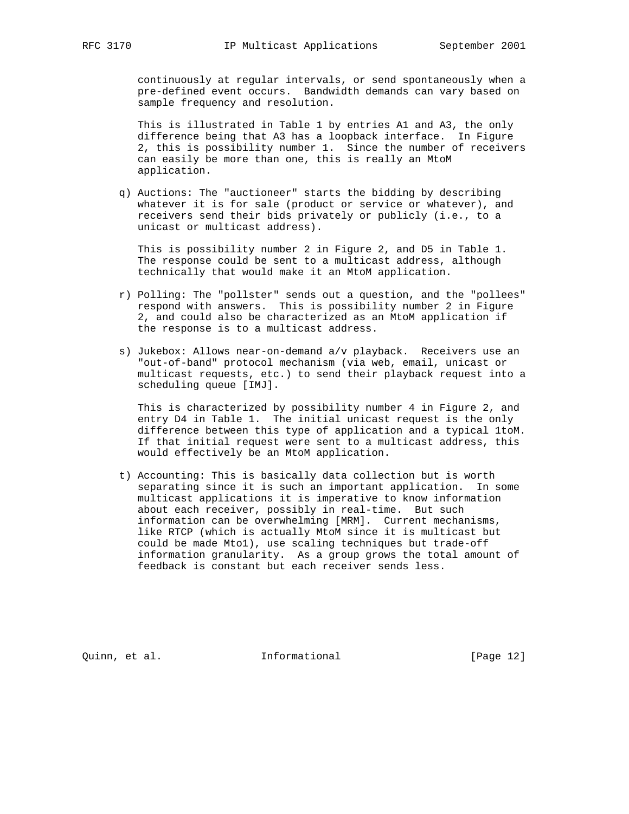continuously at regular intervals, or send spontaneously when a pre-defined event occurs. Bandwidth demands can vary based on sample frequency and resolution.

 This is illustrated in Table 1 by entries A1 and A3, the only difference being that A3 has a loopback interface. In Figure 2, this is possibility number 1. Since the number of receivers can easily be more than one, this is really an MtoM application.

 q) Auctions: The "auctioneer" starts the bidding by describing whatever it is for sale (product or service or whatever), and receivers send their bids privately or publicly (i.e., to a unicast or multicast address).

 This is possibility number 2 in Figure 2, and D5 in Table 1. The response could be sent to a multicast address, although technically that would make it an MtoM application.

- r) Polling: The "pollster" sends out a question, and the "pollees" respond with answers. This is possibility number 2 in Figure 2, and could also be characterized as an MtoM application if the response is to a multicast address.
- s) Jukebox: Allows near-on-demand a/v playback. Receivers use an "out-of-band" protocol mechanism (via web, email, unicast or multicast requests, etc.) to send their playback request into a scheduling queue [IMJ].

 This is characterized by possibility number 4 in Figure 2, and entry D4 in Table 1. The initial unicast request is the only difference between this type of application and a typical 1toM. If that initial request were sent to a multicast address, this would effectively be an MtoM application.

 t) Accounting: This is basically data collection but is worth separating since it is such an important application. In some multicast applications it is imperative to know information about each receiver, possibly in real-time. But such information can be overwhelming [MRM]. Current mechanisms, like RTCP (which is actually MtoM since it is multicast but could be made Mto1), use scaling techniques but trade-off information granularity. As a group grows the total amount of feedback is constant but each receiver sends less.

Quinn, et al. 10 1nformational 1999 [Page 12]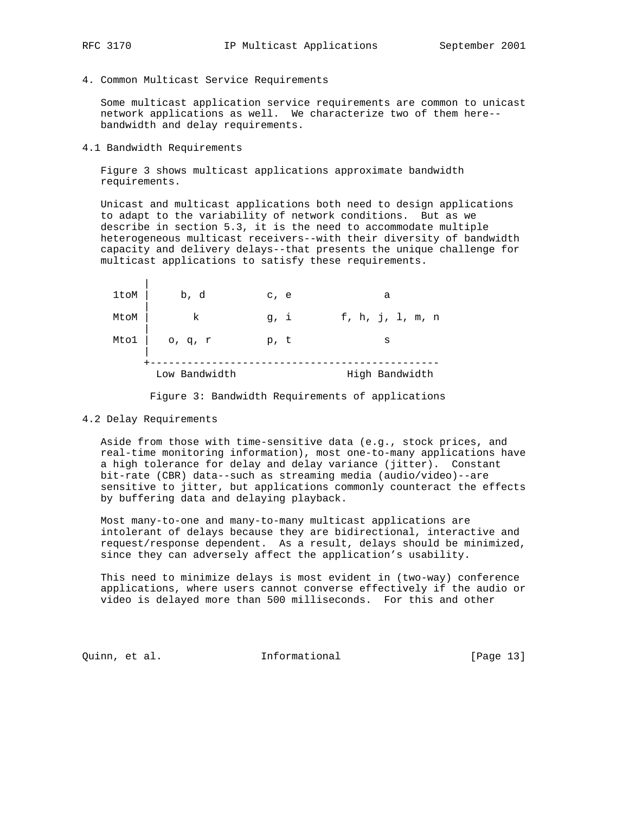- 
- 4. Common Multicast Service Requirements

 Some multicast application service requirements are common to unicast network applications as well. We characterize two of them here- bandwidth and delay requirements.

4.1 Bandwidth Requirements

 Figure 3 shows multicast applications approximate bandwidth requirements.

 Unicast and multicast applications both need to design applications to adapt to the variability of network conditions. But as we describe in section 5.3, it is the need to accommodate multiple heterogeneous multicast receivers--with their diversity of bandwidth capacity and delivery delays--that presents the unique challenge for multicast applications to satisfy these requirements.

| 1toM | b, d          | c, e | а                |
|------|---------------|------|------------------|
| MtoM | k             | g, i | f, h, j, l, m, n |
| Mtol | o, q, $r$     | p, t | S                |
|      | Low Bandwidth |      | High Bandwidth   |

Figure 3: Bandwidth Requirements of applications

### 4.2 Delay Requirements

 Aside from those with time-sensitive data (e.g., stock prices, and real-time monitoring information), most one-to-many applications have a high tolerance for delay and delay variance (jitter). Constant bit-rate (CBR) data--such as streaming media (audio/video)--are sensitive to jitter, but applications commonly counteract the effects by buffering data and delaying playback.

 Most many-to-one and many-to-many multicast applications are intolerant of delays because they are bidirectional, interactive and request/response dependent. As a result, delays should be minimized, since they can adversely affect the application's usability.

 This need to minimize delays is most evident in (two-way) conference applications, where users cannot converse effectively if the audio or video is delayed more than 500 milliseconds. For this and other

Quinn, et al. 10 1nformational 1999 [Page 13]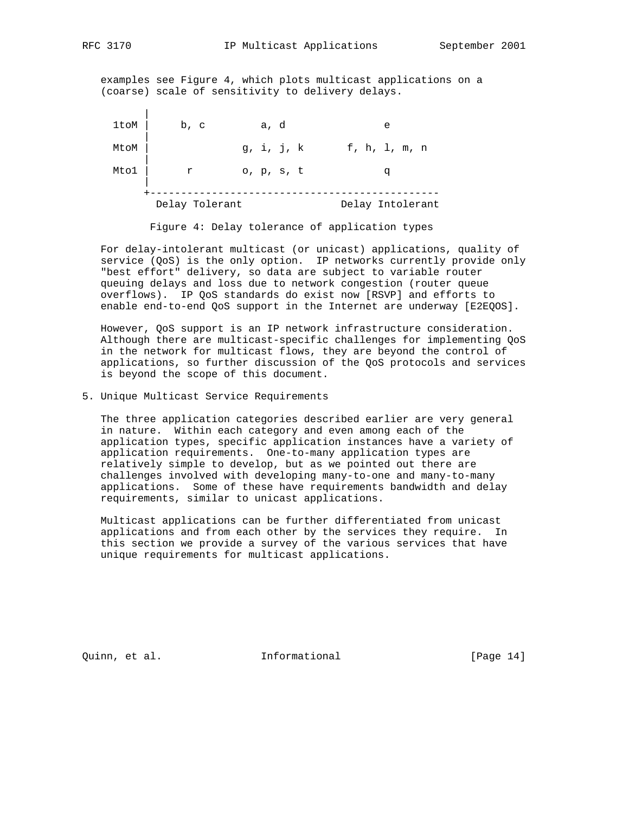examples see Figure 4, which plots multicast applications on a (coarse) scale of sensitivity to delivery delays.

| 1toM | b, c           | a, d       | e                |
|------|----------------|------------|------------------|
| MtoM |                | g, i, j, k | f, h, l, m, n    |
| Mtol |                | o, p, s, t |                  |
|      | Delay Tolerant |            | Delay Intolerant |

Figure 4: Delay tolerance of application types

 For delay-intolerant multicast (or unicast) applications, quality of service (QoS) is the only option. IP networks currently provide only "best effort" delivery, so data are subject to variable router queuing delays and loss due to network congestion (router queue overflows). IP QoS standards do exist now [RSVP] and efforts to enable end-to-end QoS support in the Internet are underway [E2EQOS].

 However, QoS support is an IP network infrastructure consideration. Although there are multicast-specific challenges for implementing QoS in the network for multicast flows, they are beyond the control of applications, so further discussion of the QoS protocols and services is beyond the scope of this document.

5. Unique Multicast Service Requirements

 The three application categories described earlier are very general in nature. Within each category and even among each of the application types, specific application instances have a variety of application requirements. One-to-many application types are relatively simple to develop, but as we pointed out there are challenges involved with developing many-to-one and many-to-many applications. Some of these have requirements bandwidth and delay requirements, similar to unicast applications.

 Multicast applications can be further differentiated from unicast applications and from each other by the services they require. In this section we provide a survey of the various services that have unique requirements for multicast applications.

Quinn, et al. 10 1nformational 1999 [Page 14]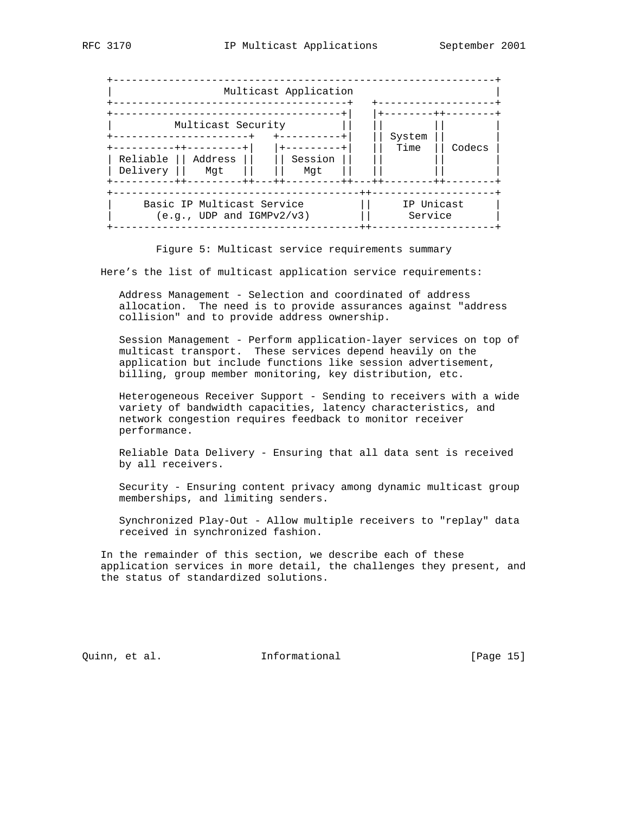| Multicast Application                                                                                                                           |                                               |
|-------------------------------------------------------------------------------------------------------------------------------------------------|-----------------------------------------------|
| --------------------------<br>Multicast Security<br>--------++---------<br>--------<br>Session<br>Reliable<br>Address<br>Delivery<br>Mqt<br>Mqt | ---------++------<br>System<br>Time<br>Codecs |
| -------------------------++-<br>Basic IP Multicast Service<br>(e.g., UDP and IGMPv2/v3)                                                         | IP Unicast<br>Service                         |

Figure 5: Multicast service requirements summary

Here's the list of multicast application service requirements:

 Address Management - Selection and coordinated of address allocation. The need is to provide assurances against "address collision" and to provide address ownership.

 Session Management - Perform application-layer services on top of multicast transport. These services depend heavily on the application but include functions like session advertisement, billing, group member monitoring, key distribution, etc.

 Heterogeneous Receiver Support - Sending to receivers with a wide variety of bandwidth capacities, latency characteristics, and network congestion requires feedback to monitor receiver performance.

 Reliable Data Delivery - Ensuring that all data sent is received by all receivers.

 Security - Ensuring content privacy among dynamic multicast group memberships, and limiting senders.

 Synchronized Play-Out - Allow multiple receivers to "replay" data received in synchronized fashion.

 In the remainder of this section, we describe each of these application services in more detail, the challenges they present, and the status of standardized solutions.

Quinn, et al. 10 1nformational 1999 [Page 15]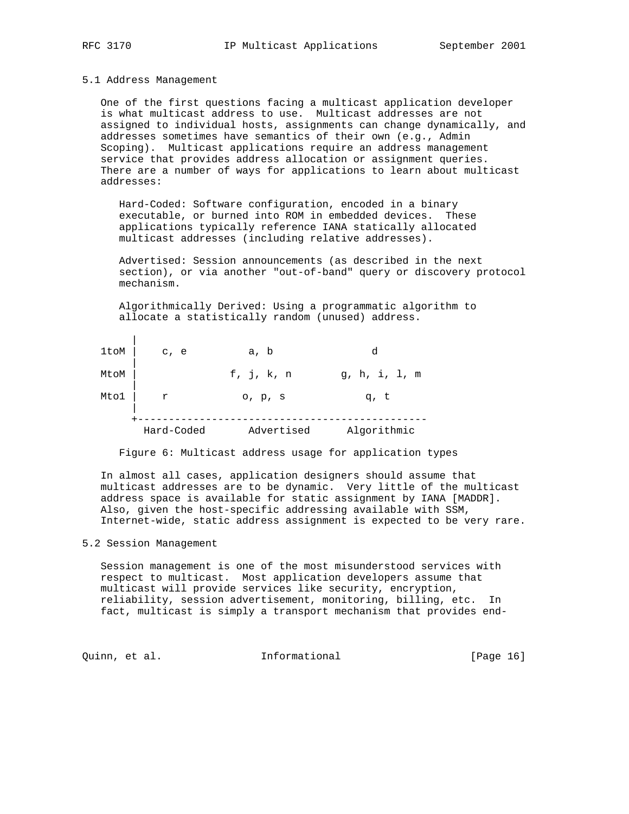#### 5.1 Address Management

 One of the first questions facing a multicast application developer is what multicast address to use. Multicast addresses are not assigned to individual hosts, assignments can change dynamically, and addresses sometimes have semantics of their own (e.g., Admin Scoping). Multicast applications require an address management service that provides address allocation or assignment queries. There are a number of ways for applications to learn about multicast addresses:

 Hard-Coded: Software configuration, encoded in a binary executable, or burned into ROM in embedded devices. These applications typically reference IANA statically allocated multicast addresses (including relative addresses).

 Advertised: Session announcements (as described in the next section), or via another "out-of-band" query or discovery protocol mechanism.

 Algorithmically Derived: Using a programmatic algorithm to allocate a statistically random (unused) address.

| 1toM | c, e       | a, b       |               |
|------|------------|------------|---------------|
| MtoM |            | f, j, k, n | g, h, i, l, m |
| Mtol |            | O, p, S    | q, t          |
|      | Hard-Coded | Advertised | Algorithmic   |

Figure 6: Multicast address usage for application types

 In almost all cases, application designers should assume that multicast addresses are to be dynamic. Very little of the multicast address space is available for static assignment by IANA [MADDR]. Also, given the host-specific addressing available with SSM, Internet-wide, static address assignment is expected to be very rare.

#### 5.2 Session Management

 Session management is one of the most misunderstood services with respect to multicast. Most application developers assume that multicast will provide services like security, encryption, reliability, session advertisement, monitoring, billing, etc. In fact, multicast is simply a transport mechanism that provides end-

# Quinn, et al. 10 1nformational 100 [Page 16]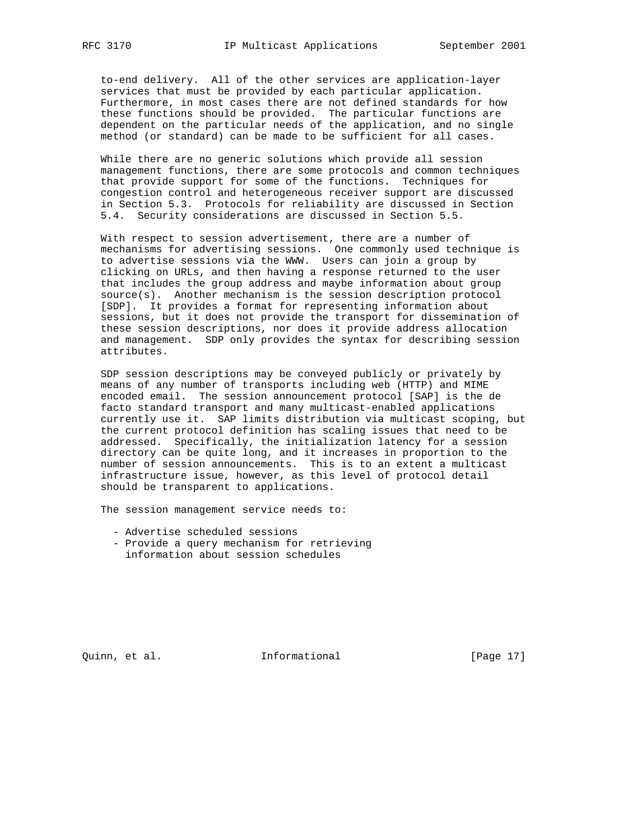to-end delivery. All of the other services are application-layer services that must be provided by each particular application. Furthermore, in most cases there are not defined standards for how these functions should be provided. The particular functions are dependent on the particular needs of the application, and no single method (or standard) can be made to be sufficient for all cases.

 While there are no generic solutions which provide all session management functions, there are some protocols and common techniques that provide support for some of the functions. Techniques for congestion control and heterogeneous receiver support are discussed in Section 5.3. Protocols for reliability are discussed in Section 5.4. Security considerations are discussed in Section 5.5.

 With respect to session advertisement, there are a number of mechanisms for advertising sessions. One commonly used technique is to advertise sessions via the WWW. Users can join a group by clicking on URLs, and then having a response returned to the user that includes the group address and maybe information about group source(s). Another mechanism is the session description protocol [SDP]. It provides a format for representing information about sessions, but it does not provide the transport for dissemination of these session descriptions, nor does it provide address allocation and management. SDP only provides the syntax for describing session attributes.

 SDP session descriptions may be conveyed publicly or privately by means of any number of transports including web (HTTP) and MIME encoded email. The session announcement protocol [SAP] is the de facto standard transport and many multicast-enabled applications currently use it. SAP limits distribution via multicast scoping, but the current protocol definition has scaling issues that need to be addressed. Specifically, the initialization latency for a session directory can be quite long, and it increases in proportion to the number of session announcements. This is to an extent a multicast infrastructure issue, however, as this level of protocol detail should be transparent to applications.

The session management service needs to:

- Advertise scheduled sessions
- Provide a query mechanism for retrieving information about session schedules

Quinn, et al. 10 1nformational 1999 [Page 17]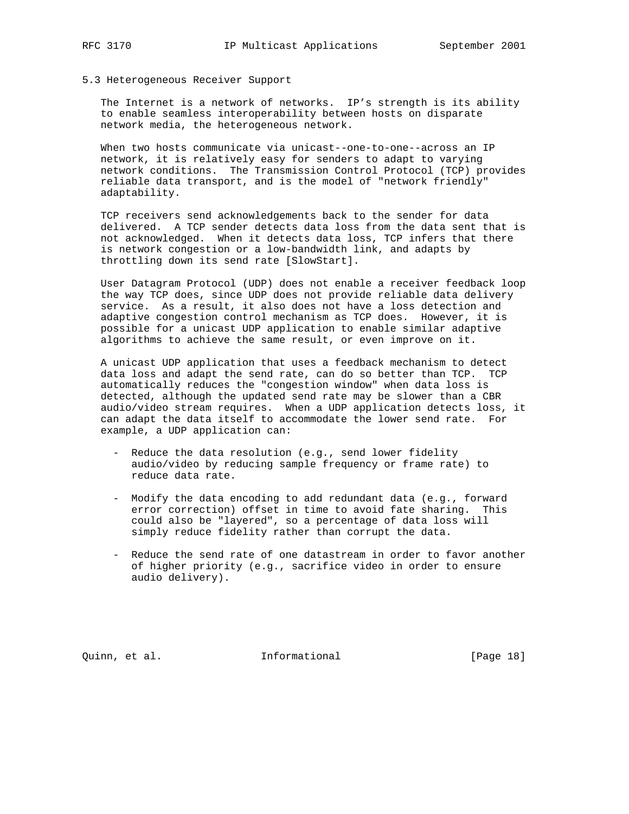#### 5.3 Heterogeneous Receiver Support

 The Internet is a network of networks. IP's strength is its ability to enable seamless interoperability between hosts on disparate network media, the heterogeneous network.

 When two hosts communicate via unicast--one-to-one--across an IP network, it is relatively easy for senders to adapt to varying network conditions. The Transmission Control Protocol (TCP) provides reliable data transport, and is the model of "network friendly" adaptability.

 TCP receivers send acknowledgements back to the sender for data delivered. A TCP sender detects data loss from the data sent that is not acknowledged. When it detects data loss, TCP infers that there is network congestion or a low-bandwidth link, and adapts by throttling down its send rate [SlowStart].

 User Datagram Protocol (UDP) does not enable a receiver feedback loop the way TCP does, since UDP does not provide reliable data delivery service. As a result, it also does not have a loss detection and adaptive congestion control mechanism as TCP does. However, it is possible for a unicast UDP application to enable similar adaptive algorithms to achieve the same result, or even improve on it.

 A unicast UDP application that uses a feedback mechanism to detect data loss and adapt the send rate, can do so better than TCP. TCP automatically reduces the "congestion window" when data loss is detected, although the updated send rate may be slower than a CBR audio/video stream requires. When a UDP application detects loss, it can adapt the data itself to accommodate the lower send rate. For example, a UDP application can:

- Reduce the data resolution (e.g., send lower fidelity audio/video by reducing sample frequency or frame rate) to reduce data rate.
- Modify the data encoding to add redundant data (e.g., forward error correction) offset in time to avoid fate sharing. This could also be "layered", so a percentage of data loss will simply reduce fidelity rather than corrupt the data.
- Reduce the send rate of one datastream in order to favor another of higher priority (e.g., sacrifice video in order to ensure audio delivery).

Quinn, et al. 10 1nformational 1999 [Page 18]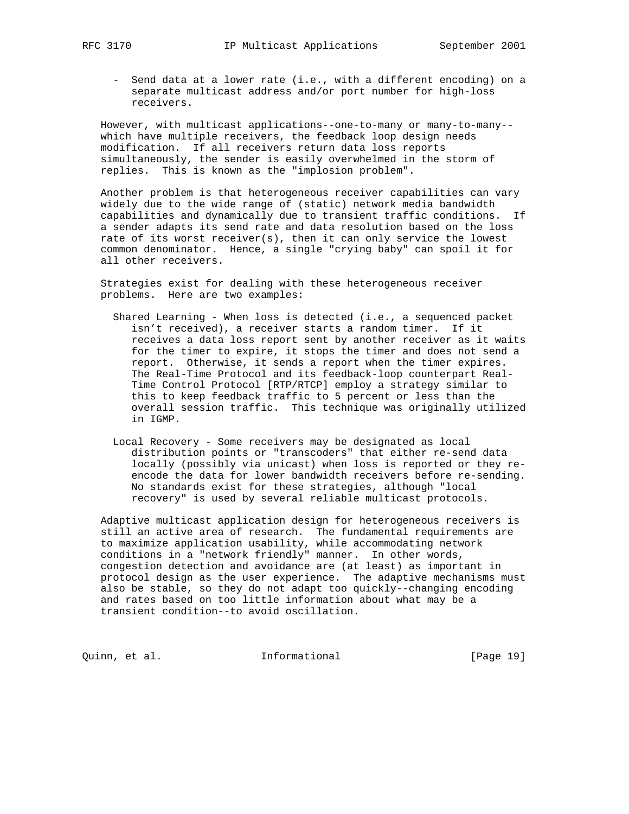- - Send data at a lower rate (i.e., with a different encoding) on a separate multicast address and/or port number for high-loss receivers.

 However, with multicast applications--one-to-many or many-to-many- which have multiple receivers, the feedback loop design needs modification. If all receivers return data loss reports simultaneously, the sender is easily overwhelmed in the storm of replies. This is known as the "implosion problem".

 Another problem is that heterogeneous receiver capabilities can vary widely due to the wide range of (static) network media bandwidth capabilities and dynamically due to transient traffic conditions. If a sender adapts its send rate and data resolution based on the loss rate of its worst receiver(s), then it can only service the lowest common denominator. Hence, a single "crying baby" can spoil it for all other receivers.

 Strategies exist for dealing with these heterogeneous receiver problems. Here are two examples:

- Shared Learning When loss is detected (i.e., a sequenced packet isn't received), a receiver starts a random timer. If it receives a data loss report sent by another receiver as it waits for the timer to expire, it stops the timer and does not send a report. Otherwise, it sends a report when the timer expires. The Real-Time Protocol and its feedback-loop counterpart Real- Time Control Protocol [RTP/RTCP] employ a strategy similar to this to keep feedback traffic to 5 percent or less than the overall session traffic. This technique was originally utilized in IGMP.
- Local Recovery Some receivers may be designated as local distribution points or "transcoders" that either re-send data locally (possibly via unicast) when loss is reported or they re encode the data for lower bandwidth receivers before re-sending. No standards exist for these strategies, although "local recovery" is used by several reliable multicast protocols.

 Adaptive multicast application design for heterogeneous receivers is still an active area of research. The fundamental requirements are to maximize application usability, while accommodating network conditions in a "network friendly" manner. In other words, congestion detection and avoidance are (at least) as important in protocol design as the user experience. The adaptive mechanisms must also be stable, so they do not adapt too quickly--changing encoding and rates based on too little information about what may be a transient condition--to avoid oscillation.

Quinn, et al. 10 1nformational 19 [Page 19]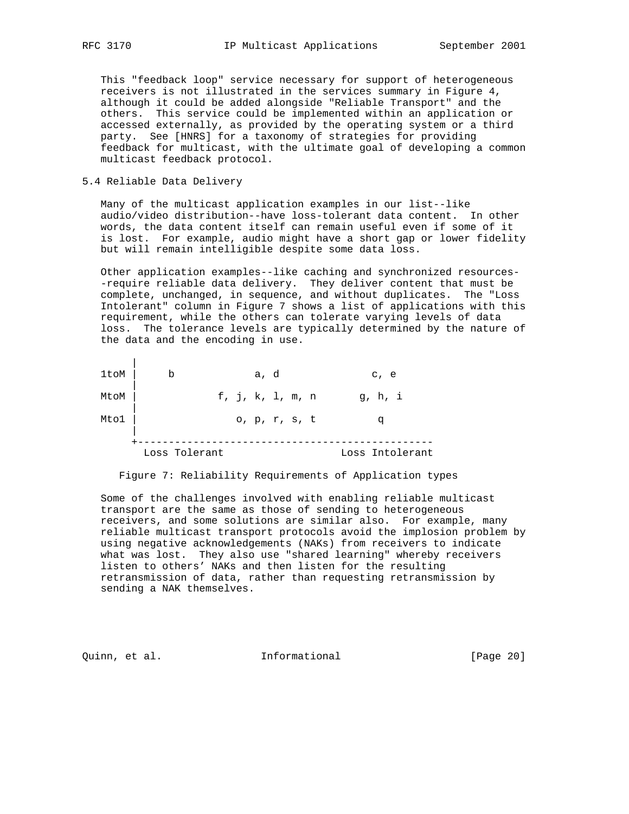This "feedback loop" service necessary for support of heterogeneous receivers is not illustrated in the services summary in Figure 4, although it could be added alongside "Reliable Transport" and the others. This service could be implemented within an application or accessed externally, as provided by the operating system or a third party. See [HNRS] for a taxonomy of strategies for providing feedback for multicast, with the ultimate goal of developing a common multicast feedback protocol.

### 5.4 Reliable Data Delivery

 Many of the multicast application examples in our list--like audio/video distribution--have loss-tolerant data content. In other words, the data content itself can remain useful even if some of it is lost. For example, audio might have a short gap or lower fidelity but will remain intelligible despite some data loss.

 Other application examples--like caching and synchronized resources- -require reliable data delivery. They deliver content that must be complete, unchanged, in sequence, and without duplicates. The "Loss Intolerant" column in Figure 7 shows a list of applications with this requirement, while the others can tolerate varying levels of data loss. The tolerance levels are typically determined by the nature of the data and the encoding in use.

| 1toM |               |                  | a, d          |  | c, e            |
|------|---------------|------------------|---------------|--|-----------------|
| MtoM |               | f, j, k, 1, m, n |               |  | g, h, i         |
| Mto1 |               |                  | o, p, r, s, t |  |                 |
|      |               |                  |               |  |                 |
|      | Loss Tolerant |                  |               |  | Loss Intolerant |

Figure 7: Reliability Requirements of Application types

 Some of the challenges involved with enabling reliable multicast transport are the same as those of sending to heterogeneous receivers, and some solutions are similar also. For example, many reliable multicast transport protocols avoid the implosion problem by using negative acknowledgements (NAKs) from receivers to indicate what was lost. They also use "shared learning" whereby receivers listen to others' NAKs and then listen for the resulting retransmission of data, rather than requesting retransmission by sending a NAK themselves.

Quinn, et al. 10 1nformational 100 minutional [Page 20]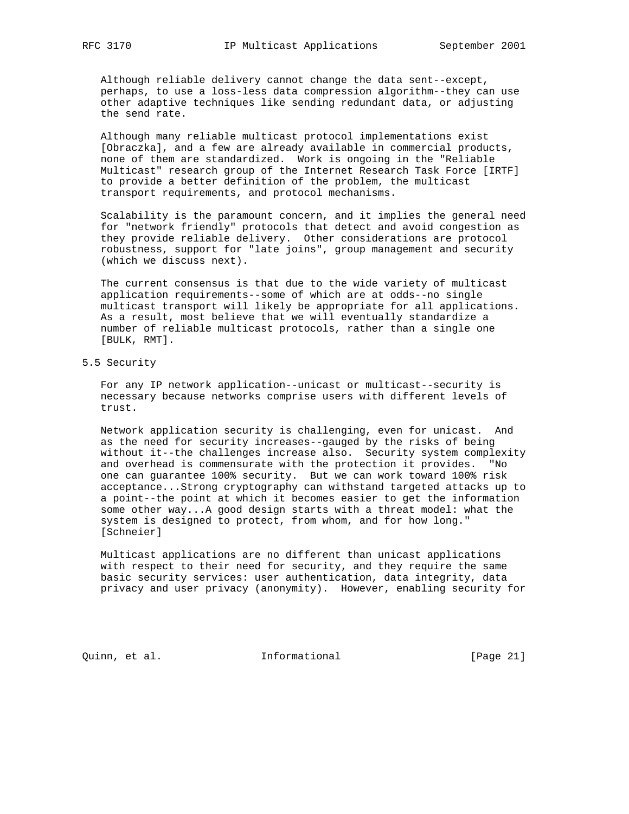Although reliable delivery cannot change the data sent--except, perhaps, to use a loss-less data compression algorithm--they can use other adaptive techniques like sending redundant data, or adjusting the send rate.

 Although many reliable multicast protocol implementations exist [Obraczka], and a few are already available in commercial products, none of them are standardized. Work is ongoing in the "Reliable Multicast" research group of the Internet Research Task Force [IRTF] to provide a better definition of the problem, the multicast transport requirements, and protocol mechanisms.

 Scalability is the paramount concern, and it implies the general need for "network friendly" protocols that detect and avoid congestion as they provide reliable delivery. Other considerations are protocol robustness, support for "late joins", group management and security (which we discuss next).

 The current consensus is that due to the wide variety of multicast application requirements--some of which are at odds--no single multicast transport will likely be appropriate for all applications. As a result, most believe that we will eventually standardize a number of reliable multicast protocols, rather than a single one [BULK, RMT].

5.5 Security

 For any IP network application--unicast or multicast--security is necessary because networks comprise users with different levels of trust.

 Network application security is challenging, even for unicast. And as the need for security increases--gauged by the risks of being without it--the challenges increase also. Security system complexity and overhead is commensurate with the protection it provides. "No one can guarantee 100% security. But we can work toward 100% risk acceptance...Strong cryptography can withstand targeted attacks up to a point--the point at which it becomes easier to get the information some other way...A good design starts with a threat model: what the system is designed to protect, from whom, and for how long." [Schneier]

 Multicast applications are no different than unicast applications with respect to their need for security, and they require the same basic security services: user authentication, data integrity, data privacy and user privacy (anonymity). However, enabling security for

Quinn, et al. 1nformational [Page 21]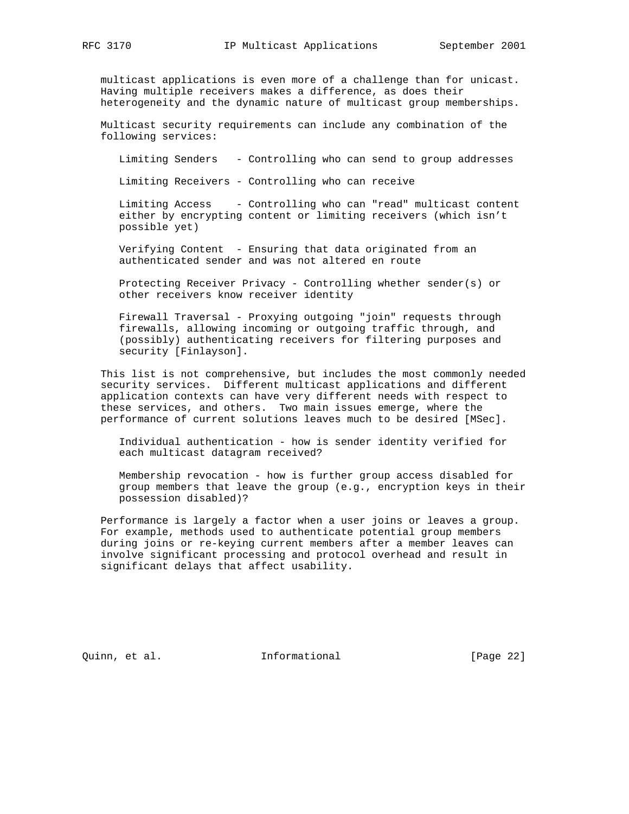multicast applications is even more of a challenge than for unicast. Having multiple receivers makes a difference, as does their heterogeneity and the dynamic nature of multicast group memberships.

 Multicast security requirements can include any combination of the following services:

Limiting Senders - Controlling who can send to group addresses

Limiting Receivers - Controlling who can receive

 Limiting Access - Controlling who can "read" multicast content either by encrypting content or limiting receivers (which isn't possible yet)

 Verifying Content - Ensuring that data originated from an authenticated sender and was not altered en route

 Protecting Receiver Privacy - Controlling whether sender(s) or other receivers know receiver identity

 Firewall Traversal - Proxying outgoing "join" requests through firewalls, allowing incoming or outgoing traffic through, and (possibly) authenticating receivers for filtering purposes and security [Finlayson].

 This list is not comprehensive, but includes the most commonly needed security services. Different multicast applications and different application contexts can have very different needs with respect to these services, and others. Two main issues emerge, where the performance of current solutions leaves much to be desired [MSec].

 Individual authentication - how is sender identity verified for each multicast datagram received?

 Membership revocation - how is further group access disabled for group members that leave the group (e.g., encryption keys in their possession disabled)?

 Performance is largely a factor when a user joins or leaves a group. For example, methods used to authenticate potential group members during joins or re-keying current members after a member leaves can involve significant processing and protocol overhead and result in significant delays that affect usability.

Quinn, et al. 10 1nformational 100 minutional [Page 22]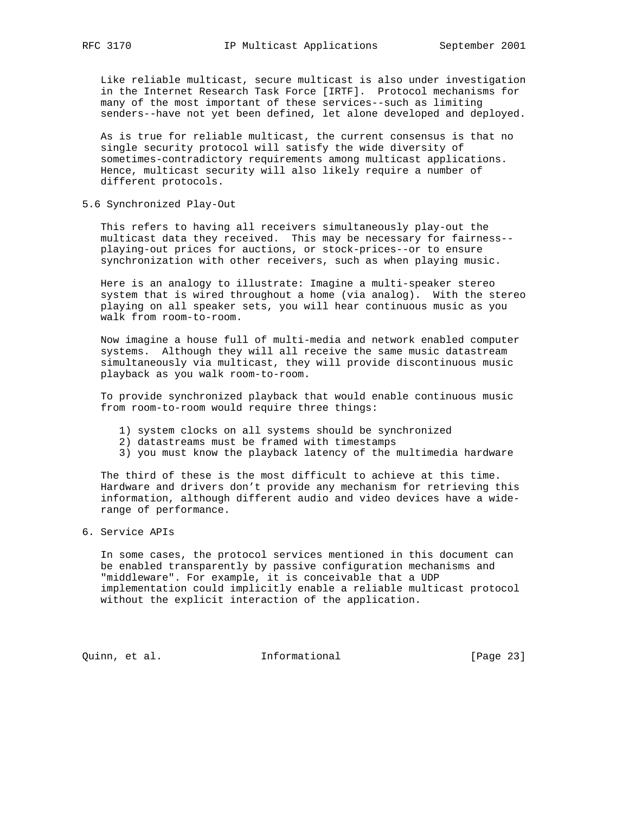Like reliable multicast, secure multicast is also under investigation in the Internet Research Task Force [IRTF]. Protocol mechanisms for many of the most important of these services--such as limiting senders--have not yet been defined, let alone developed and deployed.

 As is true for reliable multicast, the current consensus is that no single security protocol will satisfy the wide diversity of sometimes-contradictory requirements among multicast applications. Hence, multicast security will also likely require a number of different protocols.

5.6 Synchronized Play-Out

 This refers to having all receivers simultaneously play-out the multicast data they received. This may be necessary for fairness- playing-out prices for auctions, or stock-prices--or to ensure synchronization with other receivers, such as when playing music.

 Here is an analogy to illustrate: Imagine a multi-speaker stereo system that is wired throughout a home (via analog). With the stereo playing on all speaker sets, you will hear continuous music as you walk from room-to-room.

 Now imagine a house full of multi-media and network enabled computer systems. Although they will all receive the same music datastream simultaneously via multicast, they will provide discontinuous music playback as you walk room-to-room.

 To provide synchronized playback that would enable continuous music from room-to-room would require three things:

- 1) system clocks on all systems should be synchronized
- 2) datastreams must be framed with timestamps
- 3) you must know the playback latency of the multimedia hardware

 The third of these is the most difficult to achieve at this time. Hardware and drivers don't provide any mechanism for retrieving this information, although different audio and video devices have a wide range of performance.

6. Service APIs

 In some cases, the protocol services mentioned in this document can be enabled transparently by passive configuration mechanisms and "middleware". For example, it is conceivable that a UDP implementation could implicitly enable a reliable multicast protocol without the explicit interaction of the application.

Quinn, et al. 100 mm informational [Page 23]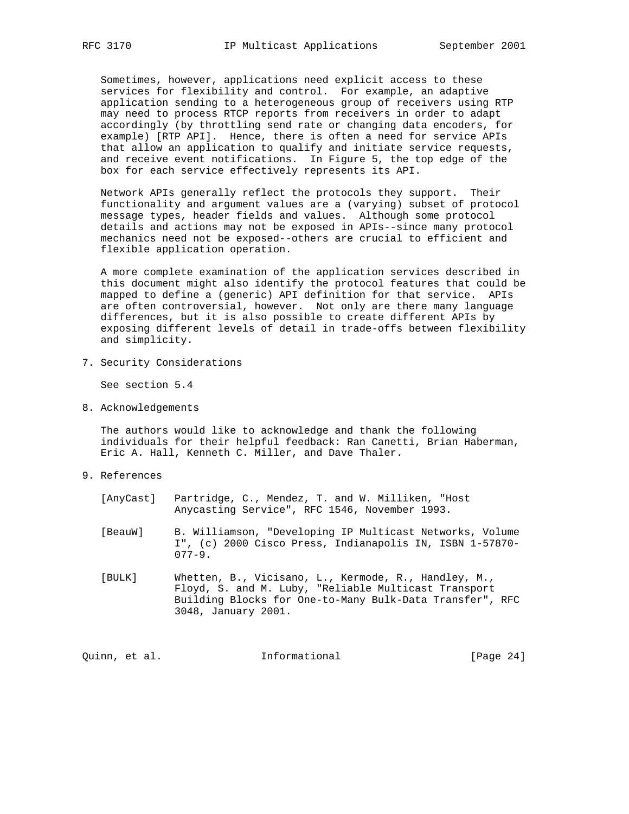Sometimes, however, applications need explicit access to these services for flexibility and control. For example, an adaptive application sending to a heterogeneous group of receivers using RTP may need to process RTCP reports from receivers in order to adapt accordingly (by throttling send rate or changing data encoders, for example) [RTP API]. Hence, there is often a need for service APIs that allow an application to qualify and initiate service requests, and receive event notifications. In Figure 5, the top edge of the box for each service effectively represents its API.

 Network APIs generally reflect the protocols they support. Their functionality and argument values are a (varying) subset of protocol message types, header fields and values. Although some protocol details and actions may not be exposed in APIs--since many protocol mechanics need not be exposed--others are crucial to efficient and flexible application operation.

 A more complete examination of the application services described in this document might also identify the protocol features that could be mapped to define a (generic) API definition for that service. APIs are often controversial, however. Not only are there many language differences, but it is also possible to create different APIs by exposing different levels of detail in trade-offs between flexibility and simplicity.

7. Security Considerations

See section 5.4

8. Acknowledgements

 The authors would like to acknowledge and thank the following individuals for their helpful feedback: Ran Canetti, Brian Haberman, Eric A. Hall, Kenneth C. Miller, and Dave Thaler.

- 9. References
	- [AnyCast] Partridge, C., Mendez, T. and W. Milliken, "Host Anycasting Service", RFC 1546, November 1993.
	- [BeauW] B. Williamson, "Developing IP Multicast Networks, Volume I", (c) 2000 Cisco Press, Indianapolis IN, ISBN 1-57870- 077-9.
	- [BULK] Whetten, B., Vicisano, L., Kermode, R., Handley, M., Floyd, S. and M. Luby, "Reliable Multicast Transport Building Blocks for One-to-Many Bulk-Data Transfer", RFC 3048, January 2001.

Quinn, et al. 10 1nformational 11 [Page 24]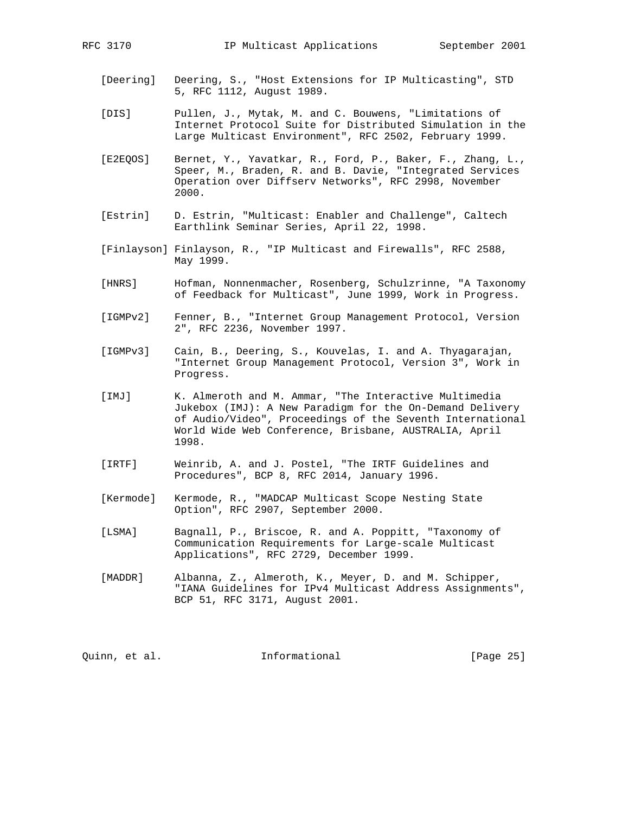- [Deering] Deering, S., "Host Extensions for IP Multicasting", STD 5, RFC 1112, August 1989.
- [DIS] Pullen, J., Mytak, M. and C. Bouwens, "Limitations of Internet Protocol Suite for Distributed Simulation in the Large Multicast Environment", RFC 2502, February 1999.
- [E2EQOS] Bernet, Y., Yavatkar, R., Ford, P., Baker, F., Zhang, L., Speer, M., Braden, R. and B. Davie, "Integrated Services Operation over Diffserv Networks", RFC 2998, November 2000.
- [Estrin] D. Estrin, "Multicast: Enabler and Challenge", Caltech Earthlink Seminar Series, April 22, 1998.
- [Finlayson] Finlayson, R., "IP Multicast and Firewalls", RFC 2588, May 1999.
- [HNRS] Hofman, Nonnenmacher, Rosenberg, Schulzrinne, "A Taxonomy of Feedback for Multicast", June 1999, Work in Progress.
- [IGMPv2] Fenner, B., "Internet Group Management Protocol, Version 2", RFC 2236, November 1997.
- [IGMPv3] Cain, B., Deering, S., Kouvelas, I. and A. Thyagarajan, "Internet Group Management Protocol, Version 3", Work in Progress.
- [IMJ] K. Almeroth and M. Ammar, "The Interactive Multimedia Jukebox (IMJ): A New Paradigm for the On-Demand Delivery of Audio/Video", Proceedings of the Seventh International World Wide Web Conference, Brisbane, AUSTRALIA, April 1998.
- [IRTF] Weinrib, A. and J. Postel, "The IRTF Guidelines and Procedures", BCP 8, RFC 2014, January 1996.
- [Kermode] Kermode, R., "MADCAP Multicast Scope Nesting State Option", RFC 2907, September 2000.
- [LSMA] Bagnall, P., Briscoe, R. and A. Poppitt, "Taxonomy of Communication Requirements for Large-scale Multicast Applications", RFC 2729, December 1999.
- [MADDR] Albanna, Z., Almeroth, K., Meyer, D. and M. Schipper, "IANA Guidelines for IPv4 Multicast Address Assignments", BCP 51, RFC 3171, August 2001.

Quinn, et al. 10 1nformational 100 minutional [Page 25]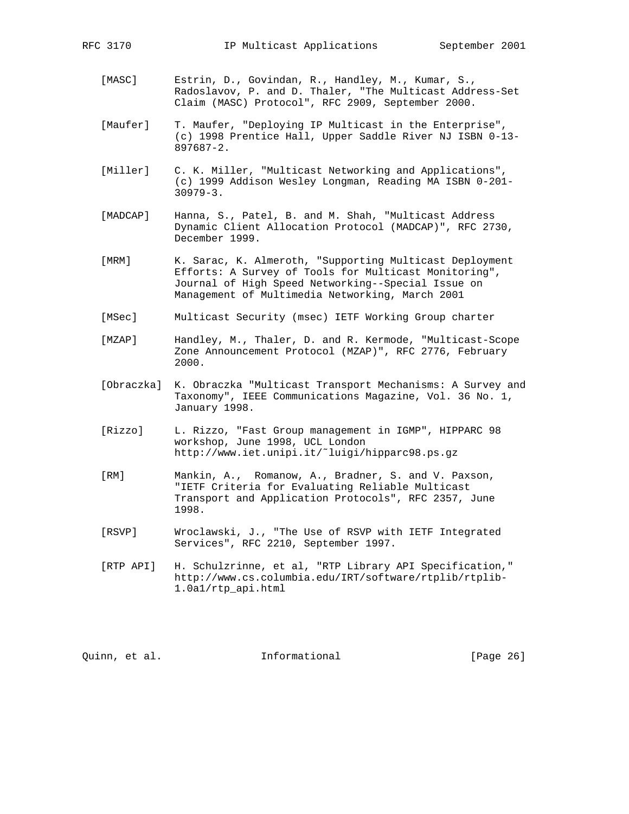- [MASC] Estrin, D., Govindan, R., Handley, M., Kumar, S., Radoslavov, P. and D. Thaler, "The Multicast Address-Set Claim (MASC) Protocol", RFC 2909, September 2000.
- [Maufer] T. Maufer, "Deploying IP Multicast in the Enterprise", (c) 1998 Prentice Hall, Upper Saddle River NJ ISBN 0-13- 897687-2.
- [Miller] C. K. Miller, "Multicast Networking and Applications", (c) 1999 Addison Wesley Longman, Reading MA ISBN 0-201- 30979-3.
- [MADCAP] Hanna, S., Patel, B. and M. Shah, "Multicast Address Dynamic Client Allocation Protocol (MADCAP)", RFC 2730, December 1999.
- [MRM] K. Sarac, K. Almeroth, "Supporting Multicast Deployment Efforts: A Survey of Tools for Multicast Monitoring", Journal of High Speed Networking--Special Issue on Management of Multimedia Networking, March 2001
- [MSec] Multicast Security (msec) IETF Working Group charter
- [MZAP] Handley, M., Thaler, D. and R. Kermode, "Multicast-Scope Zone Announcement Protocol (MZAP)", RFC 2776, February 2000.
- [Obraczka] K. Obraczka "Multicast Transport Mechanisms: A Survey and Taxonomy", IEEE Communications Magazine, Vol. 36 No. 1, January 1998.
- [Rizzo] L. Rizzo, "Fast Group management in IGMP", HIPPARC 98 workshop, June 1998, UCL London http://www.iet.unipi.it/˜luigi/hipparc98.ps.gz
- [RM] Mankin, A., Romanow, A., Bradner, S. and V. Paxson, "IETF Criteria for Evaluating Reliable Multicast Transport and Application Protocols", RFC 2357, June 1998.
- [RSVP] Wroclawski, J., "The Use of RSVP with IETF Integrated Services", RFC 2210, September 1997.
- [RTP API] H. Schulzrinne, et al, "RTP Library API Specification," http://www.cs.columbia.edu/IRT/software/rtplib/rtplib- 1.0a1/rtp\_api.html

Quinn, et al. Informational [Page 26]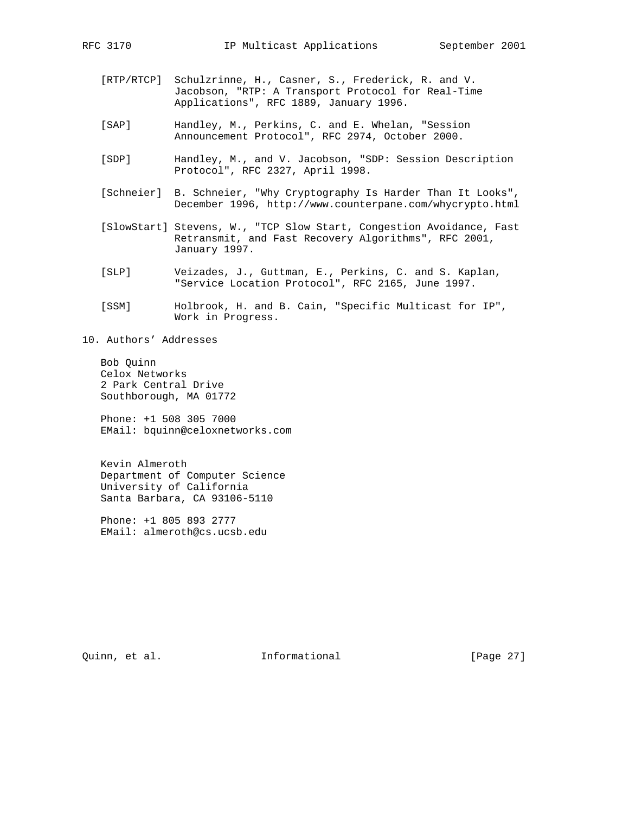- [RTP/RTCP] Schulzrinne, H., Casner, S., Frederick, R. and V. Jacobson, "RTP: A Transport Protocol for Real-Time Applications", RFC 1889, January 1996.
- [SAP] Handley, M., Perkins, C. and E. Whelan, "Session Announcement Protocol", RFC 2974, October 2000.
- [SDP] Handley, M., and V. Jacobson, "SDP: Session Description Protocol", RFC 2327, April 1998.
- [Schneier] B. Schneier, "Why Cryptography Is Harder Than It Looks", December 1996, http://www.counterpane.com/whycrypto.html
- [SlowStart] Stevens, W., "TCP Slow Start, Congestion Avoidance, Fast Retransmit, and Fast Recovery Algorithms", RFC 2001, January 1997.
- [SLP] Veizades, J., Guttman, E., Perkins, C. and S. Kaplan, "Service Location Protocol", RFC 2165, June 1997.
- [SSM] Holbrook, H. and B. Cain, "Specific Multicast for IP", Work in Progress.

10. Authors' Addresses

 Bob Quinn Celox Networks 2 Park Central Drive Southborough, MA 01772

 Phone: +1 508 305 7000 EMail: bquinn@celoxnetworks.com

 Kevin Almeroth Department of Computer Science University of California Santa Barbara, CA 93106-5110

 Phone: +1 805 893 2777 EMail: almeroth@cs.ucsb.edu

Quinn, et al. 10 1nformational 100 minutional [Page 27]